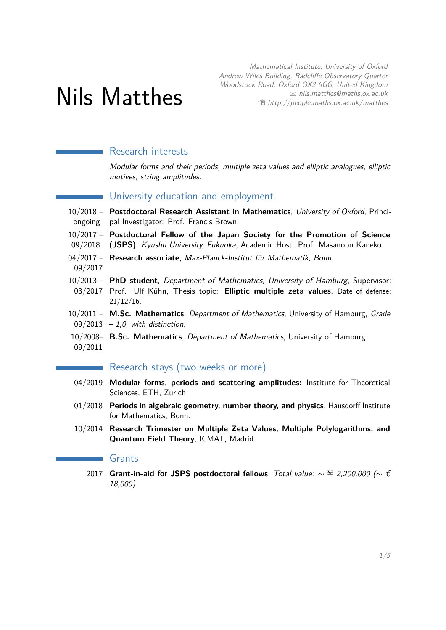# Nils Matthes

Mathematical Institute, University of Oxford Andrew Wiles Building, Radcliffe Observatory Quarter Woodstock Road, Oxford OX2 6GG, United Kingdom B [nils.matthes@maths.ox.ac.uk](mailto:nils.matthes@maths.ox.ac.uk)  $\hat{\mathbb{E}}$  [http://people.maths.ox.ac.uk/matthes](http://http://people.maths.ox.ac.uk/matthes)

# Research interests

Modular forms and their periods, multiple zeta values and elliptic analogues, elliptic motives, string amplitudes.

# University education and employment

- 10/2018 **Postdoctoral Research Assistant in Mathematics**, University of Oxford, Princiongoing pal Investigator: Prof. Francis Brown.
- 10/2017 **Postdoctoral Fellow of the Japan Society for the Promotion of Science** 09/2018 **(JSPS)**, Kyushu University, Fukuoka, Academic Host: Prof. Masanobu Kaneko.
- 04/2017 **Research associate**, Max-Planck-Institut für Mathematik, Bonn. 09/2017
- 10/2013 **PhD student**, Department of Mathematics, University of Hamburg, Supervisor: 03/2017 Prof. Ulf Kühn, Thesis topic: **Elliptic multiple zeta values**, Date of defense: 21/12/16.
- 10/2011 **M.Sc. Mathematics**, Department of Mathematics, University of Hamburg, Grade  $09/2013 - 1,0$ , with distinction.
- 10/2008– **B.Sc. Mathematics**, Department of Mathematics, University of Hamburg. 09/2011

# Research stays (two weeks or more)

- 04/2019 **Modular forms, periods and scattering amplitudes:** Institute for Theoretical Sciences, ETH, Zurich.
- 01/2018 **Periods in algebraic geometry, number theory, and physics**, Hausdorff Institute for Mathematics, Bonn.
- 10/2014 **Research Trimester on Multiple Zeta Values, Multiple Polylogarithms, and Quantum Field Theory**, ICMAT, Madrid.

# Grants

2017 **Grant-in-aid for JSPS postdoctoral fellows**, Total value: ~ ¥ 2,200,000 (~ € 18,000).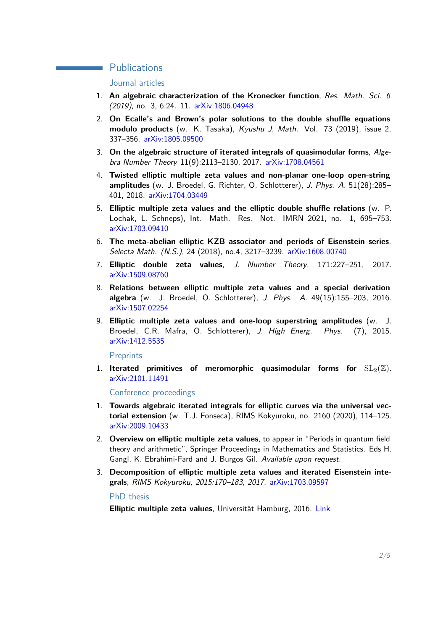# **Publications**

#### Journal articles

- 1. **An algebraic characterization of the Kronecker function**, Res. Math. Sci. 6 (2019), no. 3, 6:24. 11. [arXiv:1806.04948](https://arxiv.org/abs/1806.04948)
- 2. **On Ecalle's and Brown's polar solutions to the double shuffle equations modulo products** (w. K. Tasaka), Kyushu J. Math. Vol. 73 (2019), issue 2, 337–356. [arXiv:1805.09500](https://arxiv.org/abs/1805.09500)
- 3. **On the algebraic structure of iterated integrals of quasimodular forms**, Algebra Number Theory 11(9):2113–2130, 2017. [arXiv:1708.04561](https://arxiv.org/abs/1708.04561)
- 4. **Twisted elliptic multiple zeta values and non-planar one-loop open-string amplitudes** (w. J. Broedel, G. Richter, O. Schlotterer), J. Phys. A. 51(28):285– 401, 2018. [arXiv:1704.03449](https://arxiv.org/abs/1704.03449)
- 5. **Elliptic multiple zeta values and the elliptic double shuffle relations** (w. P. Lochak, L. Schneps), Int. Math. Res. Not. IMRN 2021, no. 1, 695–753. [arXiv:1703.09410](https://arxiv.org/abs/1703.09410)
- 6. **The meta-abelian elliptic KZB associator and periods of Eisenstein series**, Selecta Math. (N.S.), 24 (2018), no.4, 3217–3239. [arXiv:1608.00740](https://arxiv.org/abs/1608.00740)
- 7. **Elliptic double zeta values**, J. Number Theory, 171:227–251, 2017. [arXiv:1509.08760](https://arxiv.org/abs/1509.08760)
- 8. **Relations between elliptic multiple zeta values and a special derivation algebra** (w. J. Broedel, O. Schlotterer), J. Phys. A. 49(15):155–203, 2016. [arXiv:1507.02254](https://arxiv.org/abs/1507.02254)
- 9. **Elliptic multiple zeta values and one-loop superstring amplitudes** (w. J. Broedel, C.R. Mafra, O. Schlotterer), J. High Energ. Phys. (7), 2015. [arXiv:1412.5535](https://arxiv.org/abs/1412.5535)

Preprints

1. **Iterated primitives of meromorphic quasimodular forms for**  $SL_2(\mathbb{Z})$ . [arXiv:2101.11491](https://arxiv.org/abs/2101.11491)

Conference proceedings

- 1. **Towards algebraic iterated integrals for elliptic curves via the universal vectorial extension** (w. T.J. Fonseca), RIMS Kokyuroku, no. 2160 (2020), 114–125. [arXiv:2009.10433](https://arxiv.org/abs/2009.10433)
- 2. **Overview on elliptic multiple zeta values**, to appear in "Periods in quantum field theory and arithmetic", Springer Proceedings in Mathematics and Statistics. Eds H. Gangl, K. Ebrahimi-Fard and J. Burgos Gil. Available upon request.
- 3. **Decomposition of elliptic multiple zeta values and iterated Eisenstein integrals**, RIMS Kokyuroku, 2015:170–183, 2017. [arXiv:1703.09597](https://arxiv.org/abs/1703.09597)

PhD thesis

**Elliptic multiple zeta values**, Universität Hamburg, 2016. [Link](http://people.maths.ox.ac.uk/matthes/phd_final.pdf)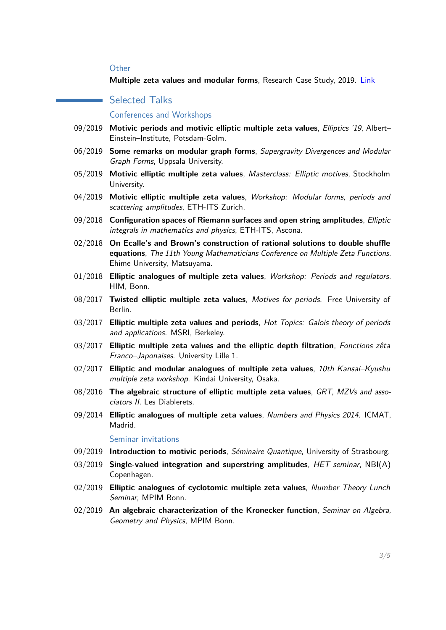#### **Other**

**Multiple zeta values and modular forms**, Research Case Study, 2019. [Link](https://www.maths.ox.ac.uk/node/33789)

### Selected Talks

#### Conferences and Workshops

- 09/2019 **Motivic periods and motivic elliptic multiple zeta values**, Elliptics '19, Albert– Einstein–Institute, Potsdam-Golm.
- 06/2019 **Some remarks on modular graph forms**, Supergravity Divergences and Modular Graph Forms, Uppsala University.
- 05/2019 **Motivic elliptic multiple zeta values**, Masterclass: Elliptic motives, Stockholm University.
- 04/2019 **Motivic elliptic multiple zeta values**, Workshop: Modular forms, periods and scattering amplitudes, ETH-ITS Zurich.
- 09/2018 **Configuration spaces of Riemann surfaces and open string amplitudes**, Elliptic integrals in mathematics and physics, ETH-ITS, Ascona.
- 02/2018 **On Ecalle's and Brown's construction of rational solutions to double shuffle equations**, The 11th Young Mathematicians Conference on Multiple Zeta Functions. Ehime University, Matsuyama.
- 01/2018 **Elliptic analogues of multiple zeta values**, Workshop: Periods and regulators. HIM, Bonn.
- 08/2017 **Twisted elliptic multiple zeta values**, Motives for periods. Free University of Berlin.
- 03/2017 **Elliptic multiple zeta values and periods**, Hot Topics: Galois theory of periods and applications. MSRI, Berkeley.
- 03/2017 **Elliptic multiple zeta values and the elliptic depth filtration**, Fonctions zêta Franco–Japonaises. University Lille 1.
- 02/2017 **Elliptic and modular analogues of multiple zeta values**, 10th Kansai–Kyushu multiple zeta workshop. Kindai University, Osaka.
- 08/2016 **The algebraic structure of elliptic multiple zeta values**, GRT, MZVs and associators II. Les Diablerets.
- 09/2014 **Elliptic analogues of multiple zeta values**, Numbers and Physics 2014. ICMAT, Madrid.

#### Seminar invitations

- 09/2019 **Introduction to motivic periods**, Séminaire Quantique, University of Strasbourg.
- 03/2019 **Single-valued integration and superstring amplitudes**, HET seminar, NBI(A) Copenhagen.
- 02/2019 **Elliptic analogues of cyclotomic multiple zeta values**, Number Theory Lunch Seminar, MPIM Bonn.
- 02/2019 **An algebraic characterization of the Kronecker function**, Seminar on Algebra, Geometry and Physics, MPIM Bonn.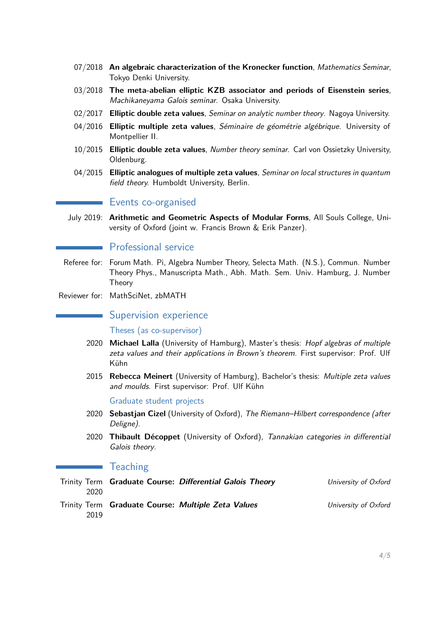- 07/2018 **An algebraic characterization of the Kronecker function**, Mathematics Seminar, Tokyo Denki University.
- 03/2018 **The meta-abelian elliptic KZB associator and periods of Eisenstein series**, Machikaneyama Galois seminar. Osaka University.
- 02/2017 **Elliptic double zeta values**, Seminar on analytic number theory. Nagoya University.
- 04/2016 **Elliptic multiple zeta values**, Séminaire de géométrie algébrique. University of Montpellier II.
- 10/2015 **Elliptic double zeta values**, Number theory seminar. Carl von Ossietzky University, Oldenburg.
- 04/2015 **Elliptic analogues of multiple zeta values**, Seminar on local structures in quantum field theory. Humboldt University, Berlin.

# **Events co-organised**

July 2019: **Arithmetic and Geometric Aspects of Modular Forms**, All Souls College, University of Oxford (joint w. Francis Brown & Erik Panzer).

#### **Professional service**

- Referee for: Forum Math. Pi, Algebra Number Theory, Selecta Math. (N.S.), Commun. Number Theory Phys., Manuscripta Math., Abh. Math. Sem. Univ. Hamburg, J. Number Theory
- Reviewer for: MathSciNet, zbMATH

#### Supervision experience

Theses (as co-supervisor)

- 2020 **Michael Lalla** (University of Hamburg), Master's thesis: Hopf algebras of multiple zeta values and their applications in Brown's theorem. First supervisor: Prof. Ulf Kühn
- 2015 **Rebecca Meinert** (University of Hamburg), Bachelor's thesis: Multiple zeta values and moulds. First supervisor: Prof. Ulf Kühn

#### Graduate student projects

- 2020 **Sebastjan Cizel** (University of Oxford), The Riemann–Hilbert correspondence (after Deligne).
- 2020 **Thibault Décoppet** (University of Oxford), Tannakian categories in differential Galois theory.

#### **Teaching**

| 2020 | Trinity Term Graduate Course: Differential Galois Theory | University of Oxford |
|------|----------------------------------------------------------|----------------------|
| 2019 | Trinity Term Graduate Course: Multiple Zeta Values       | University of Oxford |